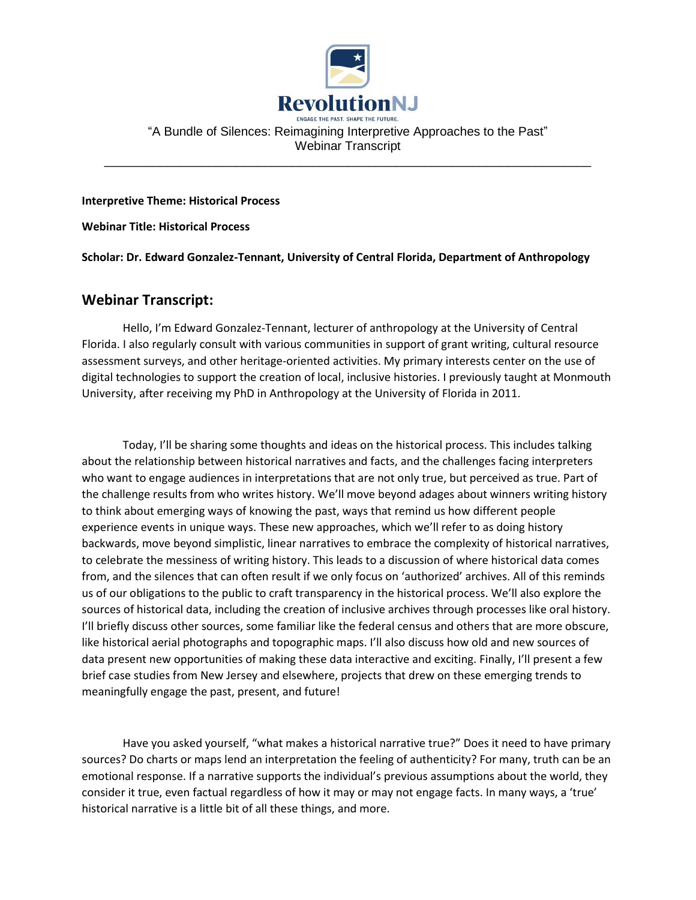

## "A Bundle of Silences: Reimagining Interpretive Approaches to the Past" Webinar Transcript

\_\_\_\_\_\_\_\_\_\_\_\_\_\_\_\_\_\_\_\_\_\_\_\_\_\_\_\_\_\_\_\_\_\_\_\_\_\_\_\_\_\_\_\_\_\_\_\_\_\_\_\_\_\_\_\_\_\_\_\_\_\_\_\_\_\_\_\_\_\_

**Interpretive Theme: Historical Process**

**Webinar Title: Historical Process**

**Scholar: Dr. Edward Gonzalez-Tennant, University of Central Florida, Department of Anthropology**

## **Webinar Transcript:**

Hello, I'm Edward Gonzalez-Tennant, lecturer of anthropology at the University of Central Florida. I also regularly consult with various communities in support of grant writing, cultural resource assessment surveys, and other heritage-oriented activities. My primary interests center on the use of digital technologies to support the creation of local, inclusive histories. I previously taught at Monmouth University, after receiving my PhD in Anthropology at the University of Florida in 2011.

Today, I'll be sharing some thoughts and ideas on the historical process. This includes talking about the relationship between historical narratives and facts, and the challenges facing interpreters who want to engage audiences in interpretations that are not only true, but perceived as true. Part of the challenge results from who writes history. We'll move beyond adages about winners writing history to think about emerging ways of knowing the past, ways that remind us how different people experience events in unique ways. These new approaches, which we'll refer to as doing history backwards, move beyond simplistic, linear narratives to embrace the complexity of historical narratives, to celebrate the messiness of writing history. This leads to a discussion of where historical data comes from, and the silences that can often result if we only focus on 'authorized' archives. All of this reminds us of our obligations to the public to craft transparency in the historical process. We'll also explore the sources of historical data, including the creation of inclusive archives through processes like oral history. I'll briefly discuss other sources, some familiar like the federal census and others that are more obscure, like historical aerial photographs and topographic maps. I'll also discuss how old and new sources of data present new opportunities of making these data interactive and exciting. Finally, I'll present a few brief case studies from New Jersey and elsewhere, projects that drew on these emerging trends to meaningfully engage the past, present, and future!

Have you asked yourself, "what makes a historical narrative true?" Does it need to have primary sources? Do charts or maps lend an interpretation the feeling of authenticity? For many, truth can be an emotional response. If a narrative supports the individual's previous assumptions about the world, they consider it true, even factual regardless of how it may or may not engage facts. In many ways, a 'true' historical narrative is a little bit of all these things, and more.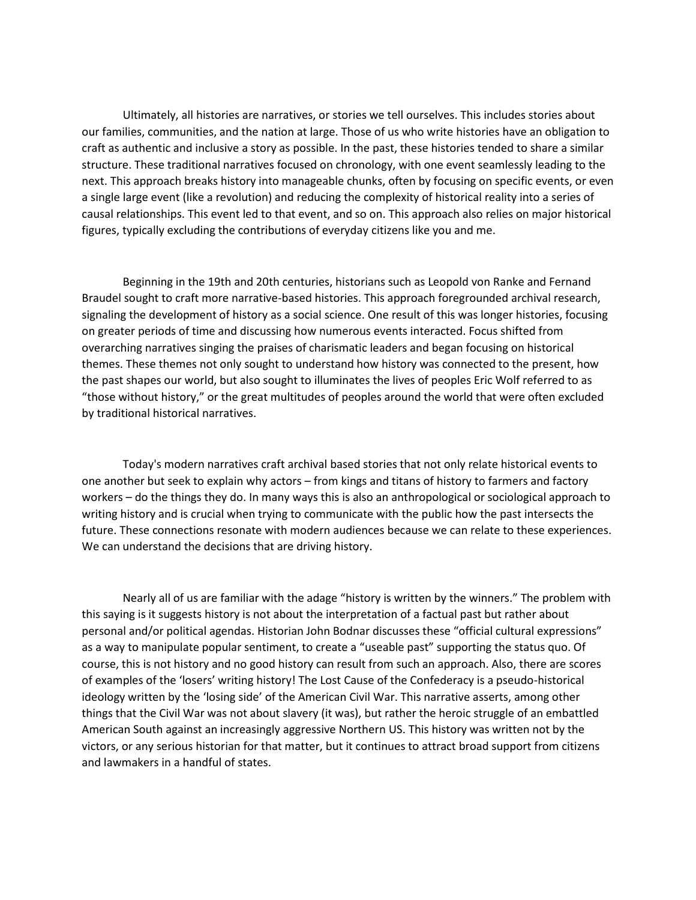Ultimately, all histories are narratives, or stories we tell ourselves. This includes stories about our families, communities, and the nation at large. Those of us who write histories have an obligation to craft as authentic and inclusive a story as possible. In the past, these histories tended to share a similar structure. These traditional narratives focused on chronology, with one event seamlessly leading to the next. This approach breaks history into manageable chunks, often by focusing on specific events, or even a single large event (like a revolution) and reducing the complexity of historical reality into a series of causal relationships. This event led to that event, and so on. This approach also relies on major historical figures, typically excluding the contributions of everyday citizens like you and me.

Beginning in the 19th and 20th centuries, historians such as Leopold von Ranke and Fernand Braudel sought to craft more narrative-based histories. This approach foregrounded archival research, signaling the development of history as a social science. One result of this was longer histories, focusing on greater periods of time and discussing how numerous events interacted. Focus shifted from overarching narratives singing the praises of charismatic leaders and began focusing on historical themes. These themes not only sought to understand how history was connected to the present, how the past shapes our world, but also sought to illuminates the lives of peoples Eric Wolf referred to as "those without history," or the great multitudes of peoples around the world that were often excluded by traditional historical narratives.

Today's modern narratives craft archival based stories that not only relate historical events to one another but seek to explain why actors – from kings and titans of history to farmers and factory workers – do the things they do. In many ways this is also an anthropological or sociological approach to writing history and is crucial when trying to communicate with the public how the past intersects the future. These connections resonate with modern audiences because we can relate to these experiences. We can understand the decisions that are driving history.

Nearly all of us are familiar with the adage "history is written by the winners." The problem with this saying is it suggests history is not about the interpretation of a factual past but rather about personal and/or political agendas. Historian John Bodnar discusses these "official cultural expressions" as a way to manipulate popular sentiment, to create a "useable past" supporting the status quo. Of course, this is not history and no good history can result from such an approach. Also, there are scores of examples of the 'losers' writing history! The Lost Cause of the Confederacy is a pseudo-historical ideology written by the 'losing side' of the American Civil War. This narrative asserts, among other things that the Civil War was not about slavery (it was), but rather the heroic struggle of an embattled American South against an increasingly aggressive Northern US. This history was written not by the victors, or any serious historian for that matter, but it continues to attract broad support from citizens and lawmakers in a handful of states.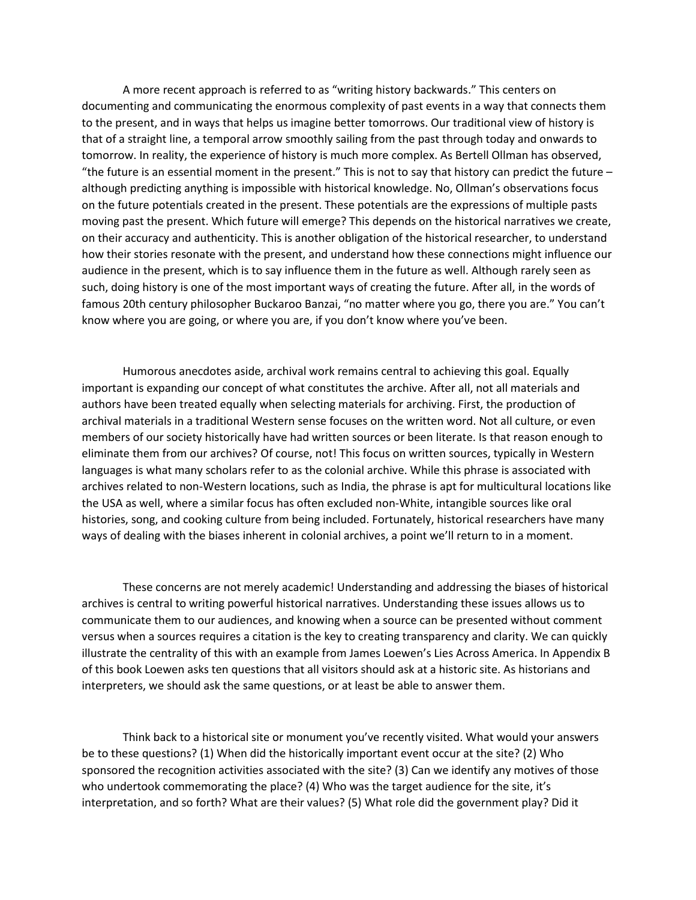A more recent approach is referred to as "writing history backwards." This centers on documenting and communicating the enormous complexity of past events in a way that connects them to the present, and in ways that helps us imagine better tomorrows. Our traditional view of history is that of a straight line, a temporal arrow smoothly sailing from the past through today and onwards to tomorrow. In reality, the experience of history is much more complex. As Bertell Ollman has observed, "the future is an essential moment in the present." This is not to say that history can predict the future  $$ although predicting anything is impossible with historical knowledge. No, Ollman's observations focus on the future potentials created in the present. These potentials are the expressions of multiple pasts moving past the present. Which future will emerge? This depends on the historical narratives we create, on their accuracy and authenticity. This is another obligation of the historical researcher, to understand how their stories resonate with the present, and understand how these connections might influence our audience in the present, which is to say influence them in the future as well. Although rarely seen as such, doing history is one of the most important ways of creating the future. After all, in the words of famous 20th century philosopher Buckaroo Banzai, "no matter where you go, there you are." You can't know where you are going, or where you are, if you don't know where you've been.

Humorous anecdotes aside, archival work remains central to achieving this goal. Equally important is expanding our concept of what constitutes the archive. After all, not all materials and authors have been treated equally when selecting materials for archiving. First, the production of archival materials in a traditional Western sense focuses on the written word. Not all culture, or even members of our society historically have had written sources or been literate. Is that reason enough to eliminate them from our archives? Of course, not! This focus on written sources, typically in Western languages is what many scholars refer to as the colonial archive. While this phrase is associated with archives related to non-Western locations, such as India, the phrase is apt for multicultural locations like the USA as well, where a similar focus has often excluded non-White, intangible sources like oral histories, song, and cooking culture from being included. Fortunately, historical researchers have many ways of dealing with the biases inherent in colonial archives, a point we'll return to in a moment.

These concerns are not merely academic! Understanding and addressing the biases of historical archives is central to writing powerful historical narratives. Understanding these issues allows us to communicate them to our audiences, and knowing when a source can be presented without comment versus when a sources requires a citation is the key to creating transparency and clarity. We can quickly illustrate the centrality of this with an example from James Loewen's Lies Across America. In Appendix B of this book Loewen asks ten questions that all visitors should ask at a historic site. As historians and interpreters, we should ask the same questions, or at least be able to answer them.

Think back to a historical site or monument you've recently visited. What would your answers be to these questions? (1) When did the historically important event occur at the site? (2) Who sponsored the recognition activities associated with the site? (3) Can we identify any motives of those who undertook commemorating the place? (4) Who was the target audience for the site, it's interpretation, and so forth? What are their values? (5) What role did the government play? Did it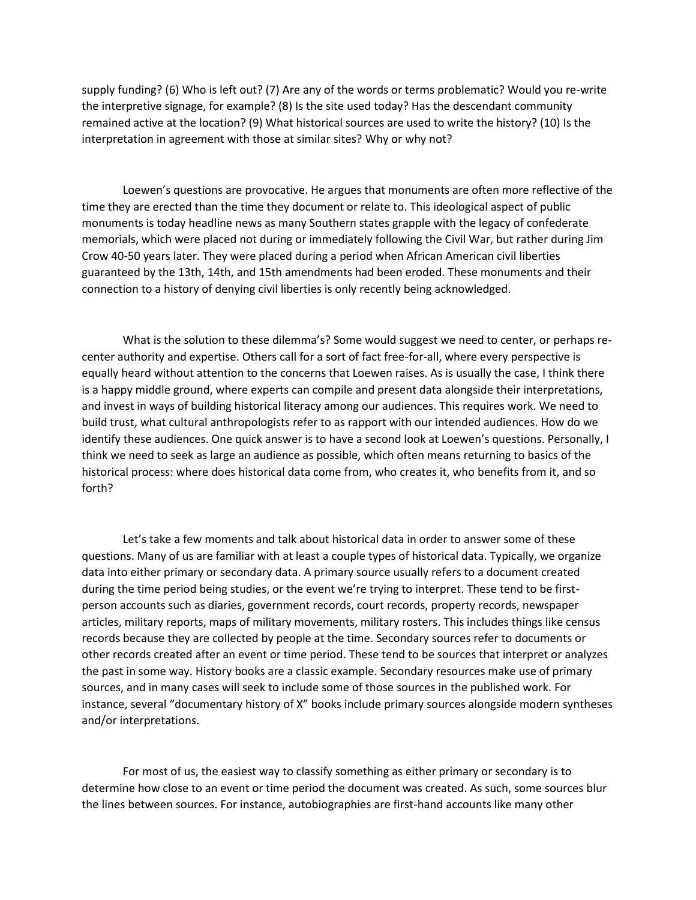supply funding? (6) Who is left out? (7) Are any of the words or terms problematic? Would you re-write the interpretive signage, for example? (8) Is the site used today? Has the descendant community remained active at the location? (9) What historical sources are used to write the history? (10) Is the interpretation in agreement with those at similar sites? Why or why not?

Loewen's questions are provocative. He argues that monuments are often more reflective of the time they are erected than the time they document or relate to. This ideological aspect of public monuments is today headline news as many Southern states grapple with the legacy of confederate memorials, which were placed not during or immediately following the Civil War, but rather during Jim Crow 40-50 years later. They were placed during a period when African American civil liberties guaranteed by the 13th, 14th, and 15th amendments had been eroded. These monuments and their connection to a history of denying civil liberties is only recently being acknowledged.

What is the solution to these dilemma's? Some would suggest we need to center, or perhaps recenter authority and expertise. Others call for a sort of fact free-for-all, where every perspective is equally heard without attention to the concerns that Loewen raises. As is usually the case, I think there is a happy middle ground, where experts can compile and present data alongside their interpretations, and invest in ways of building historical literacy among our audiences. This requires work. We need to build trust, what cultural anthropologists refer to as rapport with our intended audiences. How do we identify these audiences. One quick answer is to have a second look at Loewen's questions. Personally, I think we need to seek as large an audience as possible, which often means returning to basics of the historical process: where does historical data come from, who creates it, who benefits from it, and so forth?

Let's take a few moments and talk about historical data in order to answer some of these questions. Many of us are familiar with at least a couple types of historical data. Typically, we organize data into either primary or secondary data. A primary source usually refers to a document created during the time period being studies, or the event we're trying to interpret. These tend to be firstperson accounts such as diaries, government records, court records, property records, newspaper articles, military reports, maps of military movements, military rosters. This includes things like census records because they are collected by people at the time. Secondary sources refer to documents or other records created after an event or time period. These tend to be sources that interpret or analyzes the past in some way. History books are a classic example. Secondary resources make use of primary sources, and in many cases will seek to include some of those sources in the published work. For instance, several "documentary history of X" books include primary sources alongside modern syntheses and/or interpretations.

For most of us, the easiest way to classify something as either primary or secondary is to determine how close to an event or time period the document was created. As such, some sources blur the lines between sources. For instance, autobiographies are first-hand accounts like many other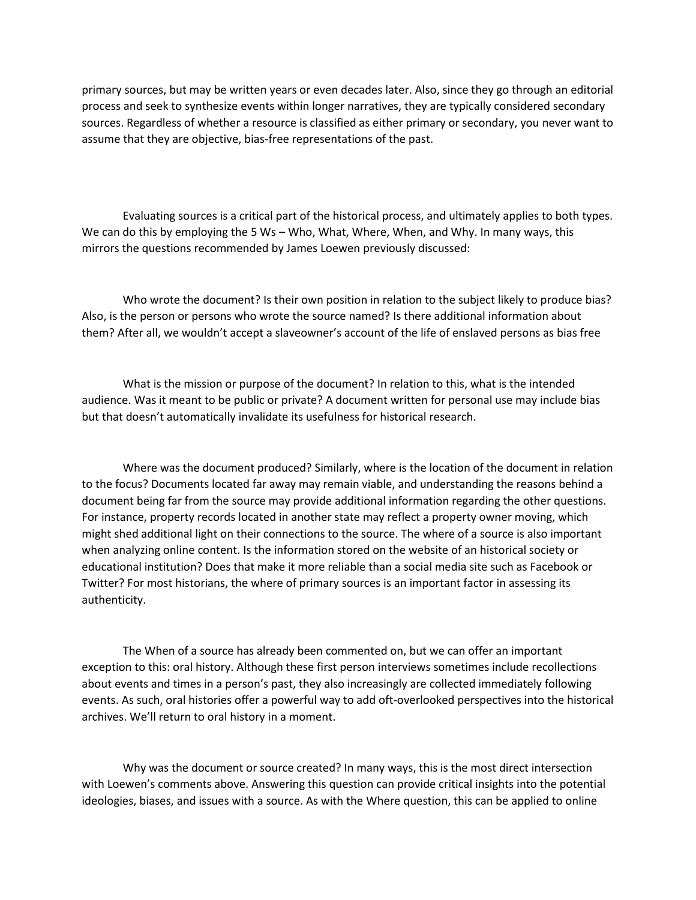primary sources, but may be written years or even decades later. Also, since they go through an editorial process and seek to synthesize events within longer narratives, they are typically considered secondary sources. Regardless of whether a resource is classified as either primary or secondary, you never want to assume that they are objective, bias-free representations of the past.

Evaluating sources is a critical part of the historical process, and ultimately applies to both types. We can do this by employing the 5 Ws – Who, What, Where, When, and Why. In many ways, this mirrors the questions recommended by James Loewen previously discussed:

Who wrote the document? Is their own position in relation to the subject likely to produce bias? Also, is the person or persons who wrote the source named? Is there additional information about them? After all, we wouldn't accept a slaveowner's account of the life of enslaved persons as bias free

What is the mission or purpose of the document? In relation to this, what is the intended audience. Was it meant to be public or private? A document written for personal use may include bias but that doesn't automatically invalidate its usefulness for historical research.

Where was the document produced? Similarly, where is the location of the document in relation to the focus? Documents located far away may remain viable, and understanding the reasons behind a document being far from the source may provide additional information regarding the other questions. For instance, property records located in another state may reflect a property owner moving, which might shed additional light on their connections to the source. The where of a source is also important when analyzing online content. Is the information stored on the website of an historical society or educational institution? Does that make it more reliable than a social media site such as Facebook or Twitter? For most historians, the where of primary sources is an important factor in assessing its authenticity.

The When of a source has already been commented on, but we can offer an important exception to this: oral history. Although these first person interviews sometimes include recollections about events and times in a person's past, they also increasingly are collected immediately following events. As such, oral histories offer a powerful way to add oft-overlooked perspectives into the historical archives. We'll return to oral history in a moment.

Why was the document or source created? In many ways, this is the most direct intersection with Loewen's comments above. Answering this question can provide critical insights into the potential ideologies, biases, and issues with a source. As with the Where question, this can be applied to online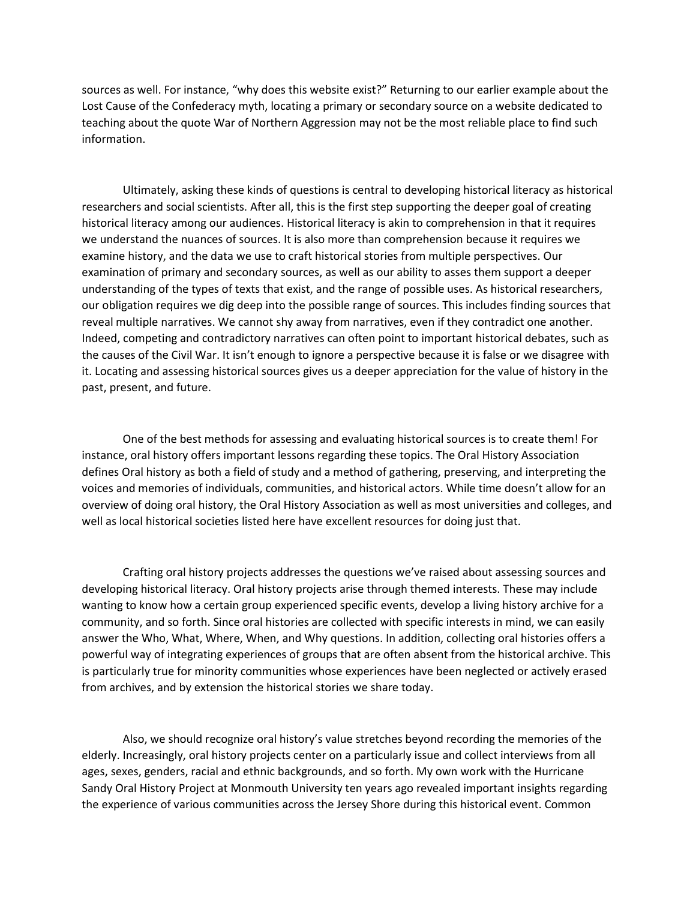sources as well. For instance, "why does this website exist?" Returning to our earlier example about the Lost Cause of the Confederacy myth, locating a primary or secondary source on a website dedicated to teaching about the quote War of Northern Aggression may not be the most reliable place to find such information.

Ultimately, asking these kinds of questions is central to developing historical literacy as historical researchers and social scientists. After all, this is the first step supporting the deeper goal of creating historical literacy among our audiences. Historical literacy is akin to comprehension in that it requires we understand the nuances of sources. It is also more than comprehension because it requires we examine history, and the data we use to craft historical stories from multiple perspectives. Our examination of primary and secondary sources, as well as our ability to asses them support a deeper understanding of the types of texts that exist, and the range of possible uses. As historical researchers, our obligation requires we dig deep into the possible range of sources. This includes finding sources that reveal multiple narratives. We cannot shy away from narratives, even if they contradict one another. Indeed, competing and contradictory narratives can often point to important historical debates, such as the causes of the Civil War. It isn't enough to ignore a perspective because it is false or we disagree with it. Locating and assessing historical sources gives us a deeper appreciation for the value of history in the past, present, and future.

One of the best methods for assessing and evaluating historical sources is to create them! For instance, oral history offers important lessons regarding these topics. The Oral History Association defines Oral history as both a field of study and a method of gathering, preserving, and interpreting the voices and memories of individuals, communities, and historical actors. While time doesn't allow for an overview of doing oral history, the Oral History Association as well as most universities and colleges, and well as local historical societies listed here have excellent resources for doing just that.

Crafting oral history projects addresses the questions we've raised about assessing sources and developing historical literacy. Oral history projects arise through themed interests. These may include wanting to know how a certain group experienced specific events, develop a living history archive for a community, and so forth. Since oral histories are collected with specific interests in mind, we can easily answer the Who, What, Where, When, and Why questions. In addition, collecting oral histories offers a powerful way of integrating experiences of groups that are often absent from the historical archive. This is particularly true for minority communities whose experiences have been neglected or actively erased from archives, and by extension the historical stories we share today.

Also, we should recognize oral history's value stretches beyond recording the memories of the elderly. Increasingly, oral history projects center on a particularly issue and collect interviews from all ages, sexes, genders, racial and ethnic backgrounds, and so forth. My own work with the Hurricane Sandy Oral History Project at Monmouth University ten years ago revealed important insights regarding the experience of various communities across the Jersey Shore during this historical event. Common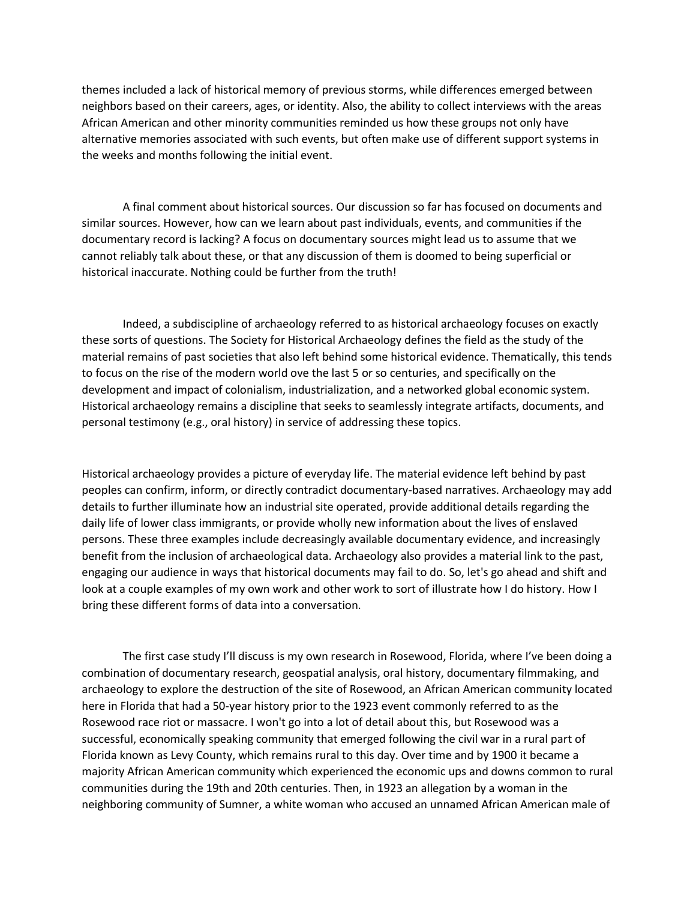themes included a lack of historical memory of previous storms, while differences emerged between neighbors based on their careers, ages, or identity. Also, the ability to collect interviews with the areas African American and other minority communities reminded us how these groups not only have alternative memories associated with such events, but often make use of different support systems in the weeks and months following the initial event.

A final comment about historical sources. Our discussion so far has focused on documents and similar sources. However, how can we learn about past individuals, events, and communities if the documentary record is lacking? A focus on documentary sources might lead us to assume that we cannot reliably talk about these, or that any discussion of them is doomed to being superficial or historical inaccurate. Nothing could be further from the truth!

Indeed, a subdiscipline of archaeology referred to as historical archaeology focuses on exactly these sorts of questions. The Society for Historical Archaeology defines the field as the study of the material remains of past societies that also left behind some historical evidence. Thematically, this tends to focus on the rise of the modern world ove the last 5 or so centuries, and specifically on the development and impact of colonialism, industrialization, and a networked global economic system. Historical archaeology remains a discipline that seeks to seamlessly integrate artifacts, documents, and personal testimony (e.g., oral history) in service of addressing these topics.

Historical archaeology provides a picture of everyday life. The material evidence left behind by past peoples can confirm, inform, or directly contradict documentary-based narratives. Archaeology may add details to further illuminate how an industrial site operated, provide additional details regarding the daily life of lower class immigrants, or provide wholly new information about the lives of enslaved persons. These three examples include decreasingly available documentary evidence, and increasingly benefit from the inclusion of archaeological data. Archaeology also provides a material link to the past, engaging our audience in ways that historical documents may fail to do. So, let's go ahead and shift and look at a couple examples of my own work and other work to sort of illustrate how I do history. How I bring these different forms of data into a conversation.

The first case study I'll discuss is my own research in Rosewood, Florida, where I've been doing a combination of documentary research, geospatial analysis, oral history, documentary filmmaking, and archaeology to explore the destruction of the site of Rosewood, an African American community located here in Florida that had a 50-year history prior to the 1923 event commonly referred to as the Rosewood race riot or massacre. I won't go into a lot of detail about this, but Rosewood was a successful, economically speaking community that emerged following the civil war in a rural part of Florida known as Levy County, which remains rural to this day. Over time and by 1900 it became a majority African American community which experienced the economic ups and downs common to rural communities during the 19th and 20th centuries. Then, in 1923 an allegation by a woman in the neighboring community of Sumner, a white woman who accused an unnamed African American male of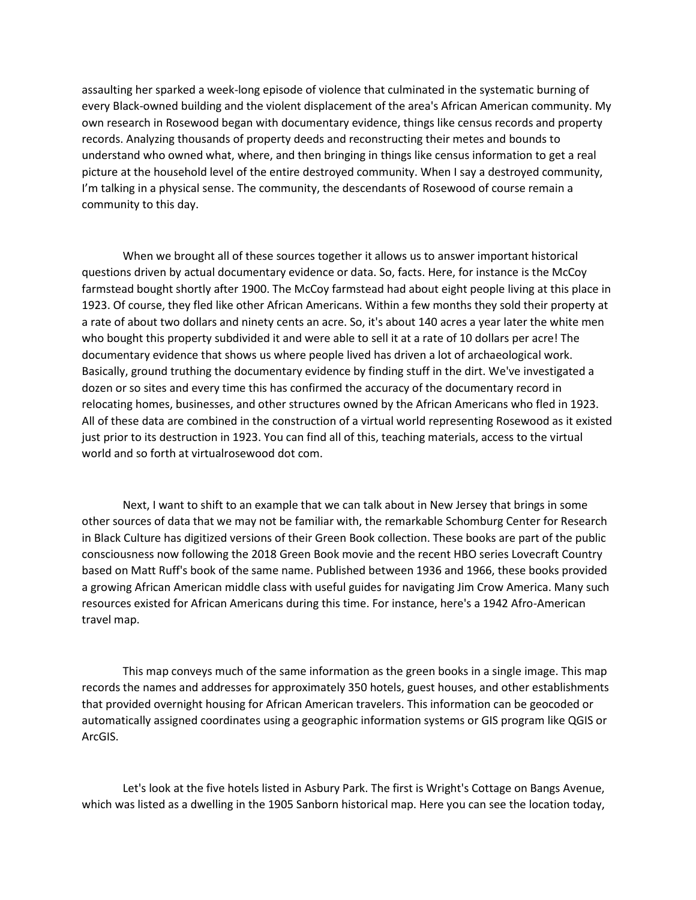assaulting her sparked a week-long episode of violence that culminated in the systematic burning of every Black-owned building and the violent displacement of the area's African American community. My own research in Rosewood began with documentary evidence, things like census records and property records. Analyzing thousands of property deeds and reconstructing their metes and bounds to understand who owned what, where, and then bringing in things like census information to get a real picture at the household level of the entire destroyed community. When I say a destroyed community, I'm talking in a physical sense. The community, the descendants of Rosewood of course remain a community to this day.

When we brought all of these sources together it allows us to answer important historical questions driven by actual documentary evidence or data. So, facts. Here, for instance is the McCoy farmstead bought shortly after 1900. The McCoy farmstead had about eight people living at this place in 1923. Of course, they fled like other African Americans. Within a few months they sold their property at a rate of about two dollars and ninety cents an acre. So, it's about 140 acres a year later the white men who bought this property subdivided it and were able to sell it at a rate of 10 dollars per acre! The documentary evidence that shows us where people lived has driven a lot of archaeological work. Basically, ground truthing the documentary evidence by finding stuff in the dirt. We've investigated a dozen or so sites and every time this has confirmed the accuracy of the documentary record in relocating homes, businesses, and other structures owned by the African Americans who fled in 1923. All of these data are combined in the construction of a virtual world representing Rosewood as it existed just prior to its destruction in 1923. You can find all of this, teaching materials, access to the virtual world and so forth at virtualrosewood dot com.

Next, I want to shift to an example that we can talk about in New Jersey that brings in some other sources of data that we may not be familiar with, the remarkable Schomburg Center for Research in Black Culture has digitized versions of their Green Book collection. These books are part of the public consciousness now following the 2018 Green Book movie and the recent HBO series Lovecraft Country based on Matt Ruff's book of the same name. Published between 1936 and 1966, these books provided a growing African American middle class with useful guides for navigating Jim Crow America. Many such resources existed for African Americans during this time. For instance, here's a 1942 Afro-American travel map.

This map conveys much of the same information as the green books in a single image. This map records the names and addresses for approximately 350 hotels, guest houses, and other establishments that provided overnight housing for African American travelers. This information can be geocoded or automatically assigned coordinates using a geographic information systems or GIS program like QGIS or ArcGIS.

Let's look at the five hotels listed in Asbury Park. The first is Wright's Cottage on Bangs Avenue, which was listed as a dwelling in the 1905 Sanborn historical map. Here you can see the location today,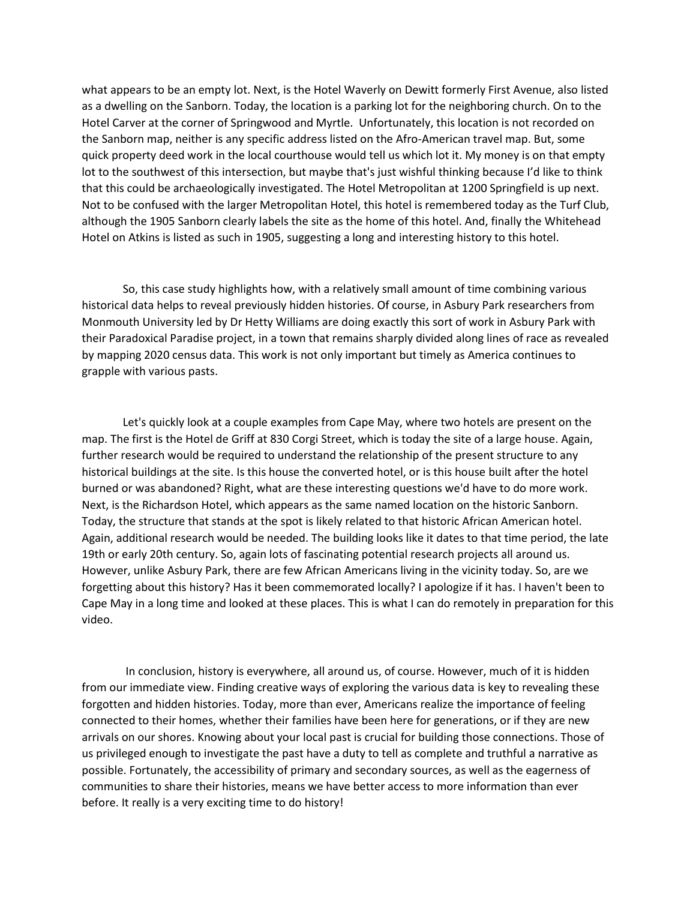what appears to be an empty lot. Next, is the Hotel Waverly on Dewitt formerly First Avenue, also listed as a dwelling on the Sanborn. Today, the location is a parking lot for the neighboring church. On to the Hotel Carver at the corner of Springwood and Myrtle. Unfortunately, this location is not recorded on the Sanborn map, neither is any specific address listed on the Afro-American travel map. But, some quick property deed work in the local courthouse would tell us which lot it. My money is on that empty lot to the southwest of this intersection, but maybe that's just wishful thinking because I'd like to think that this could be archaeologically investigated. The Hotel Metropolitan at 1200 Springfield is up next. Not to be confused with the larger Metropolitan Hotel, this hotel is remembered today as the Turf Club, although the 1905 Sanborn clearly labels the site as the home of this hotel. And, finally the Whitehead Hotel on Atkins is listed as such in 1905, suggesting a long and interesting history to this hotel.

So, this case study highlights how, with a relatively small amount of time combining various historical data helps to reveal previously hidden histories. Of course, in Asbury Park researchers from Monmouth University led by Dr Hetty Williams are doing exactly this sort of work in Asbury Park with their Paradoxical Paradise project, in a town that remains sharply divided along lines of race as revealed by mapping 2020 census data. This work is not only important but timely as America continues to grapple with various pasts.

Let's quickly look at a couple examples from Cape May, where two hotels are present on the map. The first is the Hotel de Griff at 830 Corgi Street, which is today the site of a large house. Again, further research would be required to understand the relationship of the present structure to any historical buildings at the site. Is this house the converted hotel, or is this house built after the hotel burned or was abandoned? Right, what are these interesting questions we'd have to do more work. Next, is the Richardson Hotel, which appears as the same named location on the historic Sanborn. Today, the structure that stands at the spot is likely related to that historic African American hotel. Again, additional research would be needed. The building looks like it dates to that time period, the late 19th or early 20th century. So, again lots of fascinating potential research projects all around us. However, unlike Asbury Park, there are few African Americans living in the vicinity today. So, are we forgetting about this history? Has it been commemorated locally? I apologize if it has. I haven't been to Cape May in a long time and looked at these places. This is what I can do remotely in preparation for this video.

In conclusion, history is everywhere, all around us, of course. However, much of it is hidden from our immediate view. Finding creative ways of exploring the various data is key to revealing these forgotten and hidden histories. Today, more than ever, Americans realize the importance of feeling connected to their homes, whether their families have been here for generations, or if they are new arrivals on our shores. Knowing about your local past is crucial for building those connections. Those of us privileged enough to investigate the past have a duty to tell as complete and truthful a narrative as possible. Fortunately, the accessibility of primary and secondary sources, as well as the eagerness of communities to share their histories, means we have better access to more information than ever before. It really is a very exciting time to do history!